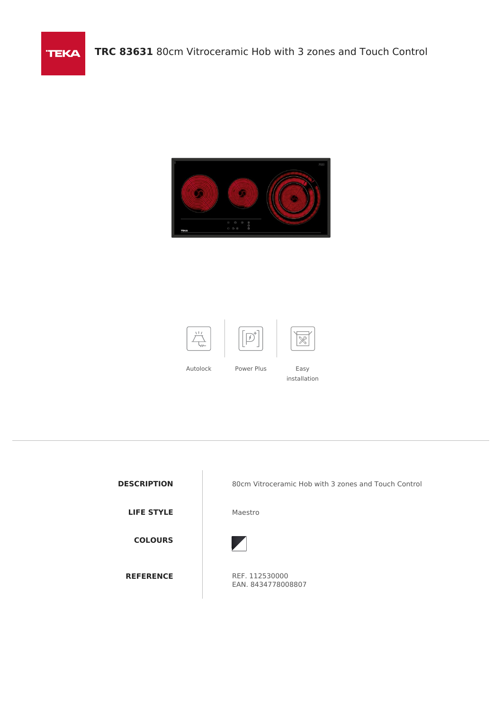



**TEKA** 

**LIFE STYLE** Maestro

**COLOURS**

**DESCRIPTION** 80cm Vitroceramic Hob with 3 zones and Touch Control



**REFERENCE** REF. 112530000 EAN. 8434778008807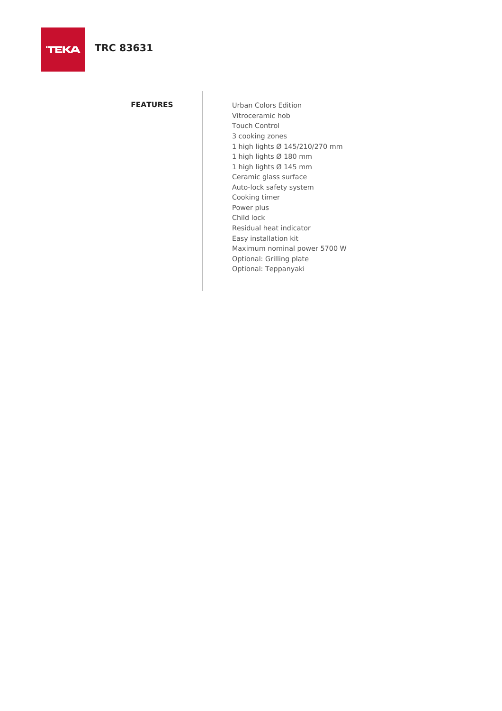# **TRC 83631**

**FEATURES** Urban Colors Edition Vitroceramic hob Touch Control 3 cooking zones 1 high lights Ø 145/210/270 mm 1 high lights Ø 180 mm 1 high lights Ø 145 mm Ceramic glass surface Auto-lock safety system Cooking timer Power plus Child lock Residual heat indicator Easy installation kit Maximum nominal power 5700 W Optional: Grilling plate Optional: Teppanyaki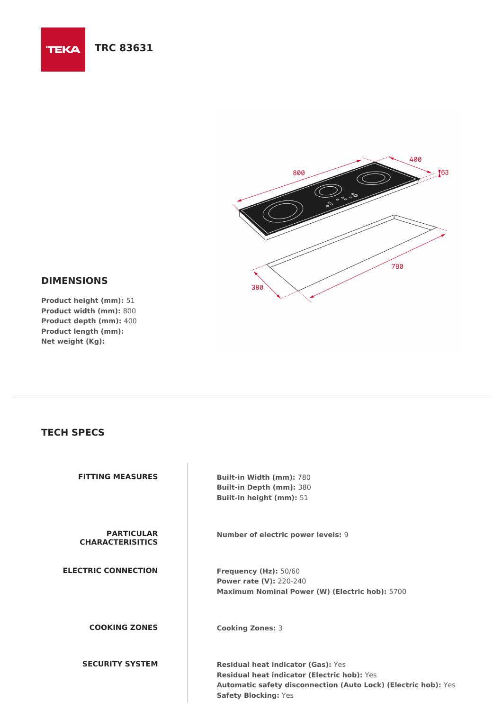### **TRC 83631 TEKA**



## **DIMENSIONS**

**Product height (mm):** 51 **Product width (mm):** 800 **Product depth (mm):** 400 **Product length (mm): Net weight (Kg):**

### **TECH SPECS**

| <b>FITTING MEASURES</b>                      | <b>Built-in Width (mm): 780</b><br><b>Built-in Depth (mm): 380</b><br>Built-in height (mm): 51                                                                                                   |
|----------------------------------------------|--------------------------------------------------------------------------------------------------------------------------------------------------------------------------------------------------|
| <b>PARTICULAR</b><br><b>CHARACTERISITICS</b> | <b>Number of electric power levels: 9</b>                                                                                                                                                        |
| <b>ELECTRIC CONNECTION</b>                   | Frequency (Hz): 50/60<br><b>Power rate (V): 220-240</b><br>Maximum Nominal Power (W) (Electric hob): 5700                                                                                        |
| <b>COOKING ZONES</b>                         | <b>Cooking Zones: 3</b>                                                                                                                                                                          |
| <b>SECURITY SYSTEM</b>                       | <b>Residual heat indicator (Gas): Yes</b><br>Residual heat indicator (Electric hob): Yes<br><b>Automatic safety disconnection (Auto Lock) (Electric hob):</b> Yes<br><b>Safety Blocking: Yes</b> |